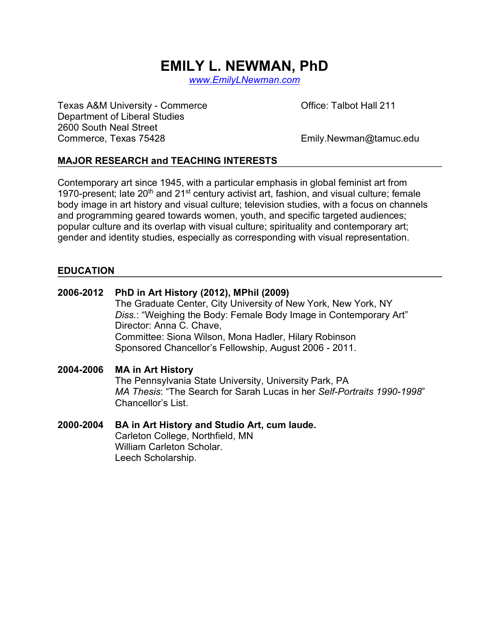# **EMILY L. NEWMAN, PhD**

*www.EmilyLNewman.com*

Texas A&M University - Commerce **Commerce Commerce Office: Talbot Hall 211** Department of Liberal Studies 2600 South Neal Street Commerce, Texas 75428 Emily.Newman@tamuc.edu

#### **MAJOR RESEARCH and TEACHING INTERESTS**

Contemporary art since 1945, with a particular emphasis in global feminist art from 1970-present; late  $20<sup>th</sup>$  and  $21<sup>st</sup>$  century activist art, fashion, and visual culture; female body image in art history and visual culture; television studies, with a focus on channels and programming geared towards women, youth, and specific targeted audiences; popular culture and its overlap with visual culture; spirituality and contemporary art; gender and identity studies, especially as corresponding with visual representation.

#### **EDUCATION**

| 2006-2012 | PhD in Art History (2012), MPhil (2009)                                 |  |
|-----------|-------------------------------------------------------------------------|--|
|           | The Graduate Center, City University of New York, New York, NY          |  |
|           | Diss.: "Weighing the Body: Female Body Image in Contemporary Art"       |  |
|           | Director: Anna C. Chave,                                                |  |
|           | Committee: Siona Wilson, Mona Hadler, Hilary Robinson                   |  |
|           | Sponsored Chancellor's Fellowship, August 2006 - 2011.                  |  |
| 2004-2006 | <b>MA in Art History</b>                                                |  |
|           | The Pennsylvania State University, University Park, PA                  |  |
|           | MA Thesis: "The Search for Sarah Lucas in her Self-Portraits 1990-1998" |  |
|           | Chancellor's List.                                                      |  |
| 2000-2004 | BA in Art History and Studio Art, cum laude.                            |  |
|           | Carleton College, Northfield, MN                                        |  |
|           | William Carleton Scholar.                                               |  |

Leech Scholarship.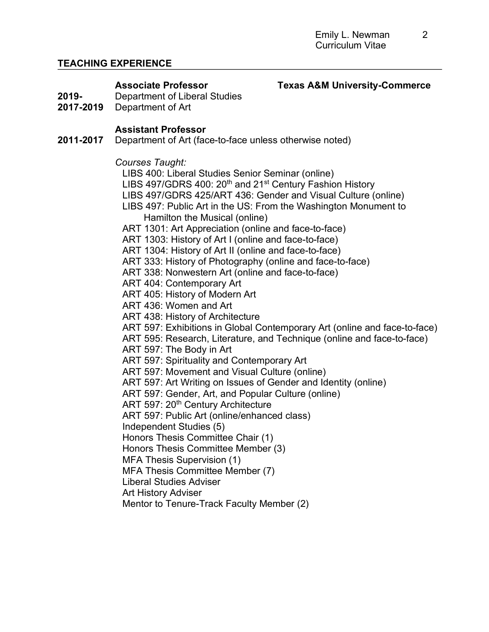# **TEACHING EXPERIENCE**

#### Associate Professor **Texas A&M University-Commerce**

- **2019-** Department of Liberal Studies
- **2017-2019** Department of Art

# **Assistant Professor**

**2011-2017** Department of Art (face-to-face unless otherwise noted)

#### *Courses Taught:*

LIBS 400: Liberal Studies Senior Seminar (online)

- LIBS 497/GDRS 400:  $20<sup>th</sup>$  and  $21<sup>st</sup>$  Century Fashion History
- LIBS 497/GDRS 425/ART 436: Gender and Visual Culture (online)
- LIBS 497: Public Art in the US: From the Washington Monument to
	- Hamilton the Musical (online)
- ART 1301: Art Appreciation (online and face-to-face)
- ART 1303: History of Art I (online and face-to-face)
- ART 1304: History of Art II (online and face-to-face)
- ART 333: History of Photography (online and face-to-face)
- ART 338: Nonwestern Art (online and face-to-face)
- ART 404: Contemporary Art
- ART 405: History of Modern Art
- ART 436: Women and Art
- ART 438: History of Architecture
- ART 597: Exhibitions in Global Contemporary Art (online and face-to-face)
- ART 595: Research, Literature, and Technique (online and face-to-face)
- ART 597: The Body in Art
- ART 597: Spirituality and Contemporary Art
- ART 597: Movement and Visual Culture (online)
- ART 597: Art Writing on Issues of Gender and Identity (online)
- ART 597: Gender, Art, and Popular Culture (online)
- ART 597: 20<sup>th</sup> Century Architecture
- ART 597: Public Art (online/enhanced class)
- Independent Studies (5)
- Honors Thesis Committee Chair (1)
- Honors Thesis Committee Member (3)
- MFA Thesis Supervision (1)
- MFA Thesis Committee Member (7)
- Liberal Studies Adviser
- Art History Adviser
- Mentor to Tenure-Track Faculty Member (2)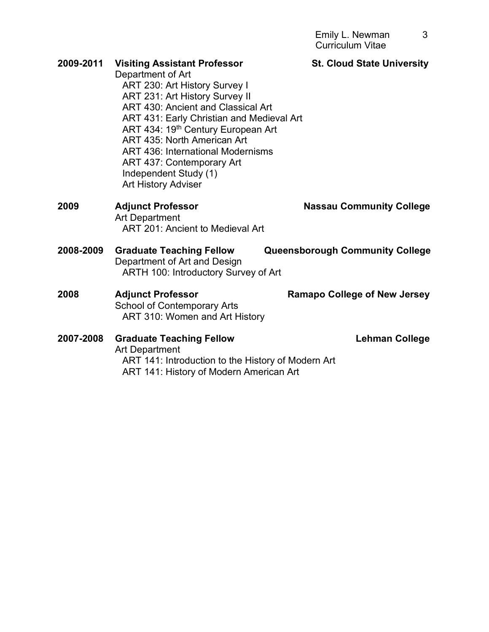| 2009-2011 | <b>Visiting Assistant Professor</b><br>Department of Art<br>ART 230: Art History Survey I<br>ART 231: Art History Survey II<br>ART 430: Ancient and Classical Art<br>ART 431: Early Christian and Medieval Art<br>ART 434: 19 <sup>th</sup> Century European Art<br>ART 435: North American Art<br><b>ART 436: International Modernisms</b><br>ART 437: Contemporary Art<br>Independent Study (1)<br><b>Art History Adviser</b> | <b>St. Cloud State University</b>      |
|-----------|---------------------------------------------------------------------------------------------------------------------------------------------------------------------------------------------------------------------------------------------------------------------------------------------------------------------------------------------------------------------------------------------------------------------------------|----------------------------------------|
| 2009      | <b>Adjunct Professor</b><br><b>Art Department</b><br><b>ART 201: Ancient to Medieval Art</b>                                                                                                                                                                                                                                                                                                                                    | <b>Nassau Community College</b>        |
| 2008-2009 | <b>Graduate Teaching Fellow</b><br>Department of Art and Design<br>ARTH 100: Introductory Survey of Art                                                                                                                                                                                                                                                                                                                         | <b>Queensborough Community College</b> |
| 2008      | <b>Adjunct Professor</b><br><b>School of Contemporary Arts</b><br>ART 310: Women and Art History                                                                                                                                                                                                                                                                                                                                | <b>Ramapo College of New Jersey</b>    |
| 2007-2008 | <b>Graduate Teaching Fellow</b><br><b>Art Department</b><br>ART 141: Introduction to the History of Modern Art                                                                                                                                                                                                                                                                                                                  | <b>Lehman College</b>                  |

ART 141: History of Modern American Art

3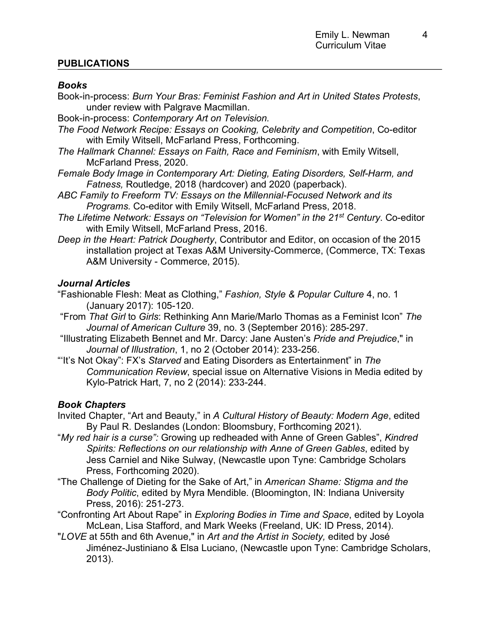#### **PUBLICATIONS**

#### *Books*

- Book-in-process: *Burn Your Bras: Feminist Fashion and Art in United States Protests*, under review with Palgrave Macmillan.
- Book-in-process: *Contemporary Art on Television.*
- *The Food Network Recipe: Essays on Cooking, Celebrity and Competition*, Co-editor with Emily Witsell, McFarland Press, Forthcoming.
- *The Hallmark Channel: Essays on Faith, Race and Feminism*, with Emily Witsell, McFarland Press, 2020.
- *Female Body Image in Contemporary Art: Dieting, Eating Disorders, Self-Harm, and Fatness,* Routledge, 2018 (hardcover) and 2020 (paperback).
- *ABC Family to Freeform TV: Essays on the Millennial-Focused Network and its Programs.* Co-editor with Emily Witsell, McFarland Press, 2018.
- *The Lifetime Network: Essays on "Television for Women" in the 21st Century*. Co-editor with Emily Witsell, McFarland Press, 2016.
- *Deep in the Heart: Patrick Dougherty*, Contributor and Editor, on occasion of the 2015 installation project at Texas A&M University-Commerce, (Commerce, TX: Texas A&M University - Commerce, 2015).

#### *Journal Articles*

- "Fashionable Flesh: Meat as Clothing," *Fashion, Style & Popular Culture* 4, no. 1 (January 2017): 105-120.
- "From *That Girl* to *Girls*: Rethinking Ann Marie/Marlo Thomas as a Feminist Icon" *The Journal of American Culture* 39, no. 3 (September 2016): 285-297.
- "Illustrating Elizabeth Bennet and Mr. Darcy: Jane Austen's *Pride and Prejudice*," in *Journal of Illustration*, 1, no 2 (October 2014): 233-256.
- "'It's Not Okay": FX's *Starved* and Eating Disorders as Entertainment" in *The Communication Review*, special issue on Alternative Visions in Media edited by Kylo-Patrick Hart, 7, no 2 (2014): 233-244.

# *Book Chapters*

- Invited Chapter, "Art and Beauty," in *A Cultural History of Beauty: Modern Age*, edited By Paul R. Deslandes (London: Bloomsbury, Forthcoming 2021).
- "*My red hair is a curse":* Growing up redheaded with Anne of Green Gables", *Kindred Spirits: Reflections on our relationship with Anne of Green Gables*, edited by Jess Carniel and Nike Sulway, (Newcastle upon Tyne: Cambridge Scholars Press, Forthcoming 2020).
- "The Challenge of Dieting for the Sake of Art," in *American Shame: Stigma and the Body Politic*, edited by Myra Mendible. (Bloomington, IN: Indiana University Press, 2016): 251-273.
- "Confronting Art About Rape" in *Exploring Bodies in Time and Space*, edited by Loyola McLean, Lisa Stafford, and Mark Weeks (Freeland, UK: ID Press, 2014).
- "*LOVE* at 55th and 6th Avenue," in *Art and the Artist in Society,* edited by José Jiménez-Justiniano & Elsa Luciano, (Newcastle upon Tyne: Cambridge Scholars, 2013).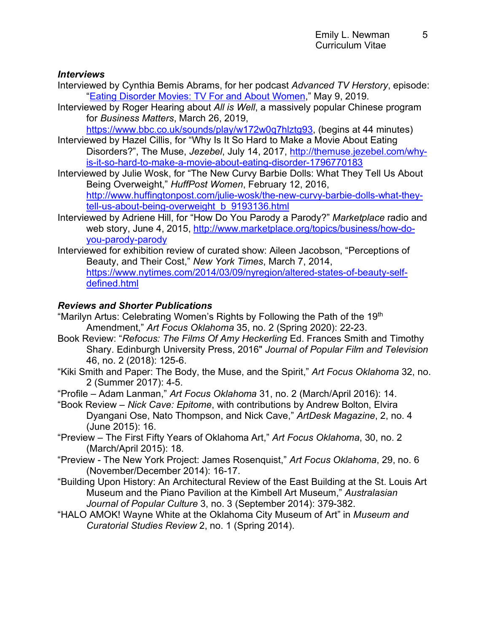#### *Interviews*

- Interviewed by Cynthia Bemis Abrams, for her podcast *Advanced TV Herstory*, episode: "Eating Disorder Movies: TV For and About Women," May 9, 2019.
- Interviewed by Roger Hearing about *All is Well*, a massively popular Chinese program for *Business Matters*, March 26, 2019,

https://www.bbc.co.uk/sounds/play/w172w0q7hlztg93, (begins at 44 minutes)

- Interviewed by Hazel Cillis, for "Why Is It So Hard to Make a Movie About Eating Disorders?", The Muse, *Jezebel*, July 14, 2017, http://themuse.jezebel.com/whyis-it-so-hard-to-make-a-movie-about-eating-disorder-1796770183
- Interviewed by Julie Wosk, for "The New Curvy Barbie Dolls: What They Tell Us About Being Overweight," *HuffPost Women*, February 12, 2016, http://www.huffingtonpost.com/julie-wosk/the-new-curvy-barbie-dolls-what-theytell-us-about-being-overweight\_b\_9193136.html
- Interviewed by Adriene Hill, for "How Do You Parody a Parody?" *Marketplace* radio and web story, June 4, 2015, http://www.marketplace.org/topics/business/how-doyou-parody-parody
- Interviewed for exhibition review of curated show: Aileen Jacobson, "Perceptions of Beauty, and Their Cost," *New York Times*, March 7, 2014, https://www.nytimes.com/2014/03/09/nyregion/altered-states-of-beauty-selfdefined.html

# *Reviews and Shorter Publications*

- "Marilyn Artus: Celebrating Women's Rights by Following the Path of the 19<sup>th</sup> Amendment," *Art Focus Oklahoma* 35, no. 2 (Spring 2020): 22-23.
- Book Review: "*Refocus: The Films Of Amy Heckerling* Ed. Frances Smith and Timothy Shary. Edinburgh University Press, 2016" *Journal of Popular Film and Television* 46, no. 2 (2018): 125-6.
- "Kiki Smith and Paper: The Body, the Muse, and the Spirit," *Art Focus Oklahoma* 32, no. 2 (Summer 2017): 4-5.
- "Profile Adam Lanman," *Art Focus Oklahoma* 31, no. 2 (March/April 2016): 14.
- "Book Review *Nick Cave: Epitome*, with contributions by Andrew Bolton, Elvira Dyangani Ose, Nato Thompson, and Nick Cave," *ArtDesk Magazine*, 2, no. 4 (June 2015): 16.
- "Preview The First Fifty Years of Oklahoma Art," *Art Focus Oklahoma*, 30, no. 2 (March/April 2015): 18.
- "Preview The New York Project: James Rosenquist," *Art Focus Oklahoma*, 29, no. 6 (November/December 2014): 16-17.
- "Building Upon History: An Architectural Review of the East Building at the St. Louis Art Museum and the Piano Pavilion at the Kimbell Art Museum," *Australasian Journal of Popular Culture* 3, no. 3 (September 2014): 379-382.
- "HALO AMOK! Wayne White at the Oklahoma City Museum of Art" in *Museum and Curatorial Studies Review* 2, no. 1 (Spring 2014).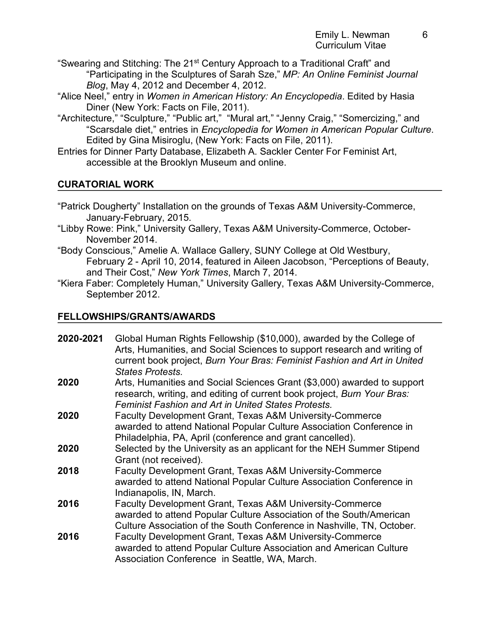- "Swearing and Stitching: The 21<sup>st</sup> Century Approach to a Traditional Craft" and "Participating in the Sculptures of Sarah Sze," *MP: An Online Feminist Journal Blog*, May 4, 2012 and December 4, 2012.
- "Alice Neel," entry in *Women in American History: An Encyclopedia*. Edited by Hasia Diner (New York: Facts on File, 2011).
- "Architecture," "Sculpture," "Public art," "Mural art," "Jenny Craig," "Somercizing," and "Scarsdale diet," entries in *Encyclopedia for Women in American Popular Culture*. Edited by Gina Misiroglu, (New York: Facts on File, 2011).
- Entries for Dinner Party Database, Elizabeth A. Sackler Center For Feminist Art, accessible at the Brooklyn Museum and online.

# **CURATORIAL WORK**

- "Patrick Dougherty" Installation on the grounds of Texas A&M University-Commerce, January-February, 2015.
- "Libby Rowe: Pink," University Gallery, Texas A&M University-Commerce, October-November 2014.
- "Body Conscious," Amelie A. Wallace Gallery, SUNY College at Old Westbury, February 2 - April 10, 2014, featured in Aileen Jacobson, "Perceptions of Beauty, and Their Cost," *New York Times*, March 7, 2014.
- "Kiera Faber: Completely Human," University Gallery, Texas A&M University-Commerce, September 2012.

# **FELLOWSHIPS/GRANTS/AWARDS**

| 2020-2021 | Global Human Rights Fellowship (\$10,000), awarded by the College of<br>Arts, Humanities, and Social Sciences to support research and writing of<br>current book project, Burn Your Bras: Feminist Fashion and Art in United<br><b>States Protests.</b> |
|-----------|---------------------------------------------------------------------------------------------------------------------------------------------------------------------------------------------------------------------------------------------------------|
| 2020      | Arts, Humanities and Social Sciences Grant (\$3,000) awarded to support<br>research, writing, and editing of current book project, Burn Your Bras:<br><b>Feminist Fashion and Art in United States Protests.</b>                                        |
| 2020      | <b>Faculty Development Grant, Texas A&amp;M University-Commerce</b><br>awarded to attend National Popular Culture Association Conference in<br>Philadelphia, PA, April (conference and grant cancelled).                                                |
| 2020      | Selected by the University as an applicant for the NEH Summer Stipend<br>Grant (not received).                                                                                                                                                          |
| 2018      | <b>Faculty Development Grant, Texas A&amp;M University-Commerce</b><br>awarded to attend National Popular Culture Association Conference in<br>Indianapolis, IN, March.                                                                                 |
| 2016      | Faculty Development Grant, Texas A&M University-Commerce<br>awarded to attend Popular Culture Association of the South/American<br>Culture Association of the South Conference in Nashville, TN, October.                                               |
| 2016      | <b>Faculty Development Grant, Texas A&amp;M University-Commerce</b><br>awarded to attend Popular Culture Association and American Culture<br>Association Conference in Seattle, WA, March.                                                              |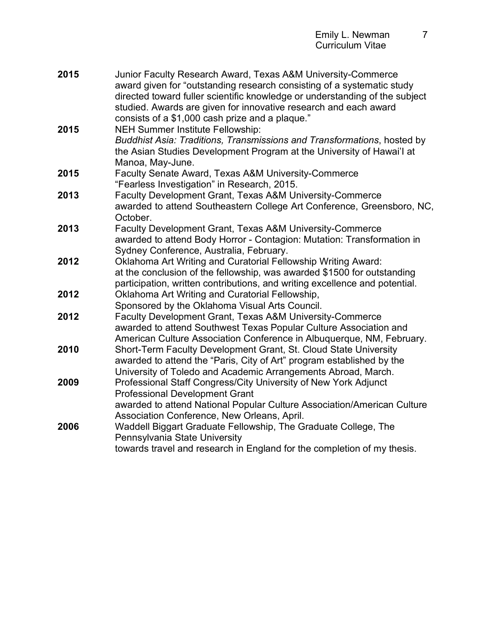| 2015 | Junior Faculty Research Award, Texas A&M University-Commerce<br>award given for "outstanding research consisting of a systematic study<br>directed toward fuller scientific knowledge or understanding of the subject<br>studied. Awards are given for innovative research and each award<br>consists of a \$1,000 cash prize and a plaque." |
|------|----------------------------------------------------------------------------------------------------------------------------------------------------------------------------------------------------------------------------------------------------------------------------------------------------------------------------------------------|
| 2015 | <b>NEH Summer Institute Fellowship:</b><br>Buddhist Asia: Traditions, Transmissions and Transformations, hosted by<br>the Asian Studies Development Program at the University of Hawai'l at<br>Manoa, May-June.                                                                                                                              |
| 2015 | Faculty Senate Award, Texas A&M University-Commerce<br>"Fearless Investigation" in Research, 2015.                                                                                                                                                                                                                                           |
| 2013 | Faculty Development Grant, Texas A&M University-Commerce<br>awarded to attend Southeastern College Art Conference, Greensboro, NC,<br>October.                                                                                                                                                                                               |
| 2013 | Faculty Development Grant, Texas A&M University-Commerce<br>awarded to attend Body Horror - Contagion: Mutation: Transformation in<br>Sydney Conference, Australia, February.                                                                                                                                                                |
| 2012 | Oklahoma Art Writing and Curatorial Fellowship Writing Award:<br>at the conclusion of the fellowship, was awarded \$1500 for outstanding<br>participation, written contributions, and writing excellence and potential.                                                                                                                      |
| 2012 | Oklahoma Art Writing and Curatorial Fellowship,<br>Sponsored by the Oklahoma Visual Arts Council.                                                                                                                                                                                                                                            |
| 2012 | Faculty Development Grant, Texas A&M University-Commerce<br>awarded to attend Southwest Texas Popular Culture Association and<br>American Culture Association Conference in Albuquerque, NM, February.                                                                                                                                       |
| 2010 | Short-Term Faculty Development Grant, St. Cloud State University<br>awarded to attend the "Paris, City of Art" program established by the<br>University of Toledo and Academic Arrangements Abroad, March.                                                                                                                                   |
| 2009 | Professional Staff Congress/City University of New York Adjunct<br><b>Professional Development Grant</b><br>awarded to attend National Popular Culture Association/American Culture<br>Association Conference, New Orleans, April.                                                                                                           |
| 2006 | Waddell Biggart Graduate Fellowship, The Graduate College, The<br>Pennsylvania State University<br>towards travel and research in England for the completion of my thesis.                                                                                                                                                                   |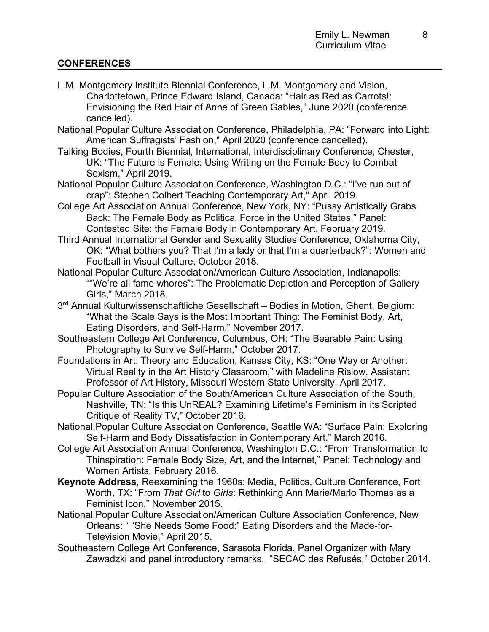# **CONFERENCES**

- L.M. Montgomery Institute Biennial Conference, L.M. Montgomery and Vision, Charlottetown, Prince Edward Island, Canada: "Hair as Red as Carrots!: Envisioning the Red Hair of Anne of Green Gables," June 2020 (conference cancelled).
- National Popular Culture Association Conference, Philadelphia, PA: "Forward into Light: American Suffragists' Fashion," April 2020 (conference cancelled).
- Talking Bodies, Fourth Biennial, International, Interdisciplinary Conference, Chester, UK: "The Future is Female: Using Writing on the Female Body to Combat Sexism," April 2019.
- National Popular Culture Association Conference, Washington D.C.: "I've run out of crap": Stephen Colbert Teaching Contemporary Art," April 2019.
- College Art Association Annual Conference, New York, NY: "Pussy Artistically Grabs Back: The Female Body as Political Force in the United States," Panel: Contested Site: the Female Body in Contemporary Art, February 2019.
- Third Annual International Gender and Sexuality Studies Conference, Oklahoma City, OK: "What bothers you? That I'm a lady or that I'm a quarterback?": Women and Football in Visual Culture, October 2018.
- National Popular Culture Association/American Culture Association, Indianapolis: ""We're all fame whores": The Problematic Depiction and Perception of Gallery Girls," March 2018.
- 3<sup>rd</sup> Annual Kulturwissenschaftliche Gesellschaft Bodies in Motion, Ghent, Belgium: "What the Scale Says is the Most Important Thing: The Feminist Body, Art, Eating Disorders, and Self-Harm," November 2017.
- Southeastern College Art Conference, Columbus, OH: "The Bearable Pain: Using Photography to Survive Self-Harm," October 2017.
- Foundations in Art: Theory and Education, Kansas City, KS: "One Way or Another: Virtual Reality in the Art History Classroom," with Madeline Rislow, Assistant Professor of Art History, Missouri Western State University, April 2017.
- Popular Culture Association of the South/American Culture Association of the South, Nashville, TN: "Is this UnREAL? Examining Lifetime's Feminism in its Scripted Critique of Reality TV," October 2016.
- National Popular Culture Association Conference, Seattle WA: "Surface Pain: Exploring Self-Harm and Body Dissatisfaction in Contemporary Art," March 2016.
- College Art Association Annual Conference, Washington D.C.: "From Transformation to Thinspiration: Female Body Size, Art, and the Internet," Panel: Technology and Women Artists, February 2016.
- **Keynote Address**, Reexamining the 1960s: Media, Politics, Culture Conference, Fort Worth, TX: "From *That Girl* to *Girls*: Rethinking Ann Marie/Marlo Thomas as a Feminist Icon," November 2015.
- National Popular Culture Association/American Culture Association Conference, New Orleans: " "She Needs Some Food:" Eating Disorders and the Made-for-Television Movie," April 2015.
- Southeastern College Art Conference, Sarasota Florida, Panel Organizer with Mary Zawadzki and panel introductory remarks, "SECAC des Refusés," October 2014.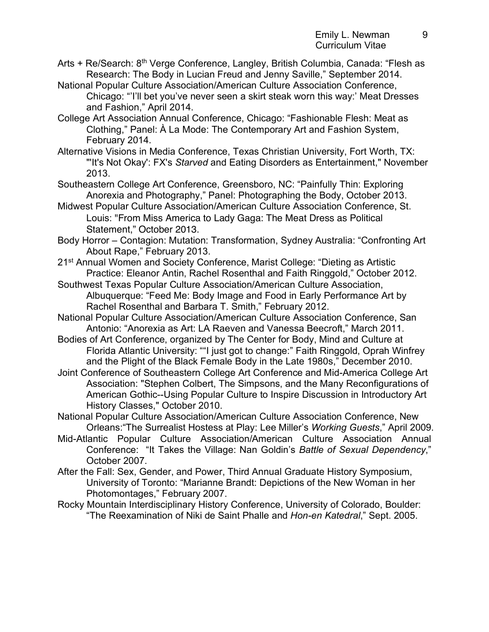- Arts + Re/Search: 8<sup>th</sup> Verge Conference, Langley, British Columbia, Canada: "Flesh as Research: The Body in Lucian Freud and Jenny Saville," September 2014.
- National Popular Culture Association/American Culture Association Conference, Chicago: "'I'll bet you've never seen a skirt steak worn this way:' Meat Dresses and Fashion," April 2014.
- College Art Association Annual Conference, Chicago: "Fashionable Flesh: Meat as Clothing," Panel: À La Mode: The Contemporary Art and Fashion System, February 2014.
- Alternative Visions in Media Conference, Texas Christian University, Fort Worth, TX: "'It's Not Okay': FX's *Starved* and Eating Disorders as Entertainment," November 2013.
- Southeastern College Art Conference, Greensboro, NC: "Painfully Thin: Exploring Anorexia and Photography," Panel: Photographing the Body, October 2013.
- Midwest Popular Culture Association/American Culture Association Conference, St. Louis: "From Miss America to Lady Gaga: The Meat Dress as Political Statement," October 2013.
- Body Horror Contagion: Mutation: Transformation, Sydney Australia: "Confronting Art About Rape," February 2013.
- 21st Annual Women and Society Conference, Marist College: "Dieting as Artistic Practice: Eleanor Antin, Rachel Rosenthal and Faith Ringgold," October 2012.
- Southwest Texas Popular Culture Association/American Culture Association, Albuquerque: "Feed Me: Body Image and Food in Early Performance Art by Rachel Rosenthal and Barbara T. Smith," February 2012.
- National Popular Culture Association/American Culture Association Conference, San Antonio: "Anorexia as Art: LA Raeven and Vanessa Beecroft," March 2011.
- Bodies of Art Conference, organized by The Center for Body, Mind and Culture at Florida Atlantic University: ""I just got to change:" Faith Ringgold, Oprah Winfrey and the Plight of the Black Female Body in the Late 1980s," December 2010.
- Joint Conference of Southeastern College Art Conference and Mid-America College Art Association: "Stephen Colbert, The Simpsons, and the Many Reconfigurations of American Gothic--Using Popular Culture to Inspire Discussion in Introductory Art History Classes," October 2010.
- National Popular Culture Association/American Culture Association Conference, New Orleans:"The Surrealist Hostess at Play: Lee Miller's *Working Guests*," April 2009.
- Mid-Atlantic Popular Culture Association/American Culture Association Annual Conference: "It Takes the Village: Nan Goldin's *Battle of Sexual Dependency*," October 2007.
- After the Fall: Sex, Gender, and Power, Third Annual Graduate History Symposium, University of Toronto: "Marianne Brandt: Depictions of the New Woman in her Photomontages," February 2007.
- Rocky Mountain Interdisciplinary History Conference, University of Colorado, Boulder: "The Reexamination of Niki de Saint Phalle and *Hon-en Katedral*," Sept. 2005.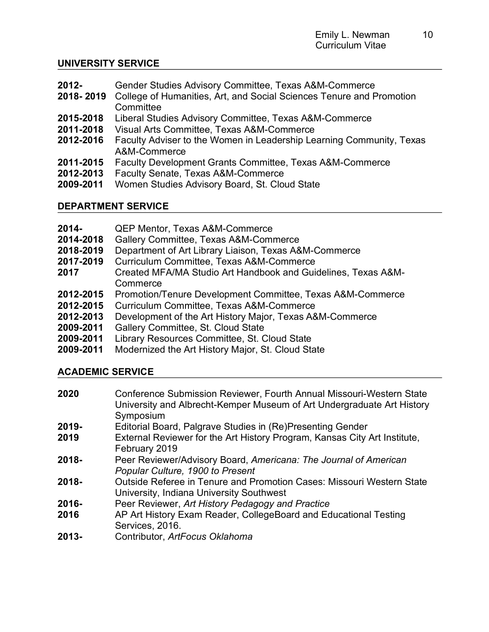# **UNIVERSITY SERVICE**

- **2012-** Gender Studies Advisory Committee, Texas A&M-Commerce
- **2018- 2019** College of Humanities, Art, and Social Sciences Tenure and Promotion **Committee**
- **2015-2018** Liberal Studies Advisory Committee, Texas A&M-Commerce
- **2011-2018** Visual Arts Committee, Texas A&M-Commerce
- **2012-2016** Faculty Adviser to the Women in Leadership Learning Community, Texas A&M-Commerce
- **2011-2015** Faculty Development Grants Committee, Texas A&M-Commerce
- **2012-2013** Faculty Senate, Texas A&M-Commerce
- **2009-2011** Women Studies Advisory Board, St. Cloud State

# **DEPARTMENT SERVICE**

- **2014-** QEP Mentor, Texas A&M-Commerce
- **2014-2018** Gallery Committee, Texas A&M-Commerce
- **2018-2019** Department of Art Library Liaison, Texas A&M-Commerce
- **2017-2019** Curriculum Committee, Texas A&M-Commerce
- **2017** Created MFA/MA Studio Art Handbook and Guidelines, Texas A&M-**Commerce**
- **2012-2015** Promotion/Tenure Development Committee, Texas A&M-Commerce
- **2012-2015** Curriculum Committee, Texas A&M-Commerce
- **2012-2013** Development of the Art History Major, Texas A&M-Commerce
- **2009-2011** Gallery Committee, St. Cloud State
- **2009-2011** Library Resources Committee, St. Cloud State
- **2009-2011** Modernized the Art History Major, St. Cloud State

# **ACADEMIC SERVICE**

**2020** Conference Submission Reviewer, Fourth Annual Missouri-Western State University and Albrecht-Kemper Museum of Art Undergraduate Art History **Symposium 2019-** Editorial Board, Palgrave Studies in (Re)Presenting Gender **2019** External Reviewer for the Art History Program, Kansas City Art Institute, February 2019 **2018-** Peer Reviewer/Advisory Board, *Americana: The Journal of American Popular Culture, 1900 to Present*  **2018-** Outside Referee in Tenure and Promotion Cases: Missouri Western State University, Indiana University Southwest **2016-** Peer Reviewer, *Art History Pedagogy and Practice* **2016** AP Art History Exam Reader, CollegeBoard and Educational Testing Services, 2016. **2013-** Contributor, *ArtFocus Oklahoma*